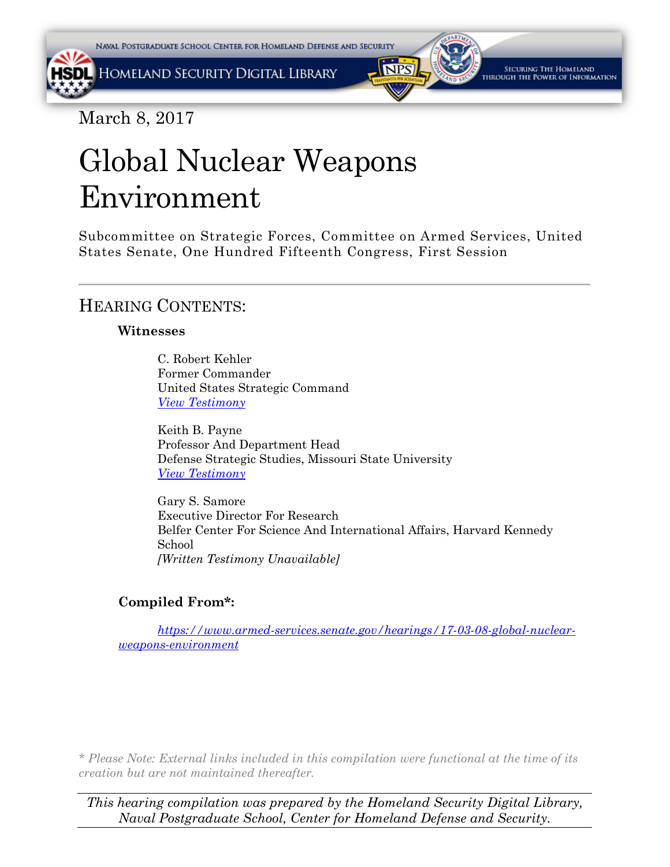



March 8, 2017

# Global Nuclear Weapons Environment

Subcommittee on Strategic Forces, Committee on Armed Services, United States Senate, One Hundred Fifteenth Congress, First Session

## HEARING CONTENTS:

## **Witnesses**

C. Robert Kehler Former Commander United States Strategic Command *[View Testimony](#page-1-0)*

Keith B. Payne Professor And Department Head Defense Strategic Studies, Missouri State University *[View Testimony](#page-10-0)*

Gary S. Samore Executive Director For Research Belfer Center For Science And International Affairs, Harvard Kennedy School *[Written Testimony Unavailable]*

## **Compiled From\*:**

*[https://www.armed-services.senate.gov/hearings/17-03-08-global-nuclear](https://www.armed-services.senate.gov/hearings/17-03-08-global-nuclear-weapons-environment)[weapons-environment](https://www.armed-services.senate.gov/hearings/17-03-08-global-nuclear-weapons-environment)*

*\* Please Note: External links included in this compilation were functional at the time of its creation but are not maintained thereafter.* 

*This hearing compilation was prepared by the Homeland Security Digital Library, Naval Postgraduate School, Center for Homeland Defense and Security.*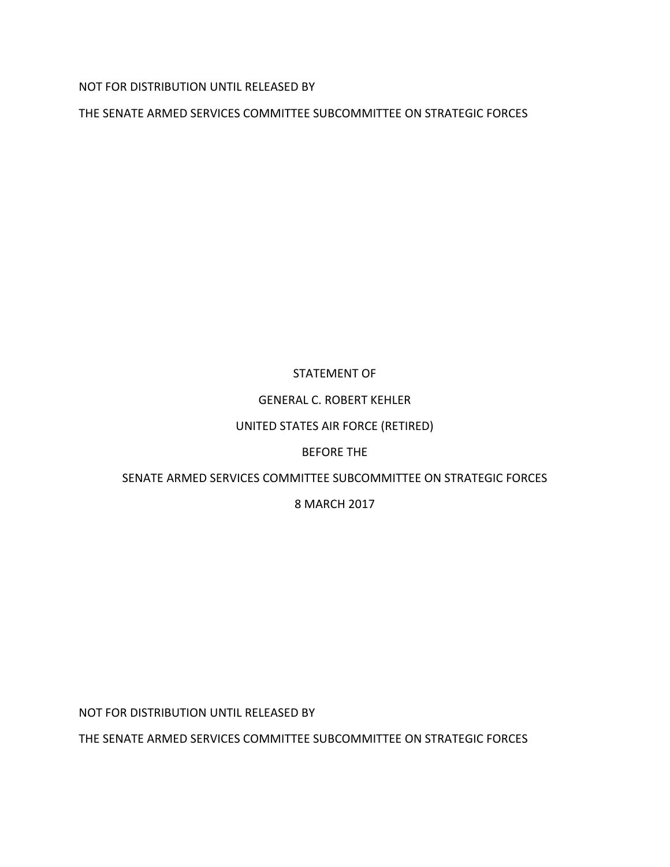<span id="page-1-0"></span>NOT FOR DISTRIBUTION UNTIL RELEASED BY

THE SENATE ARMED SERVICES COMMITTEE SUBCOMMITTEE ON STRATEGIC FORCES

## STATEMENT OF

## GENERAL C. ROBERT KEHLER

### UNITED STATES AIR FORCE (RETIRED)

### BEFORE THE

## SENATE ARMED SERVICES COMMITTEE SUBCOMMITTEE ON STRATEGIC FORCES

## 8 MARCH 2017

NOT FOR DISTRIBUTION UNTIL RELEASED BY

THE SENATE ARMED SERVICES COMMITTEE SUBCOMMITTEE ON STRATEGIC FORCES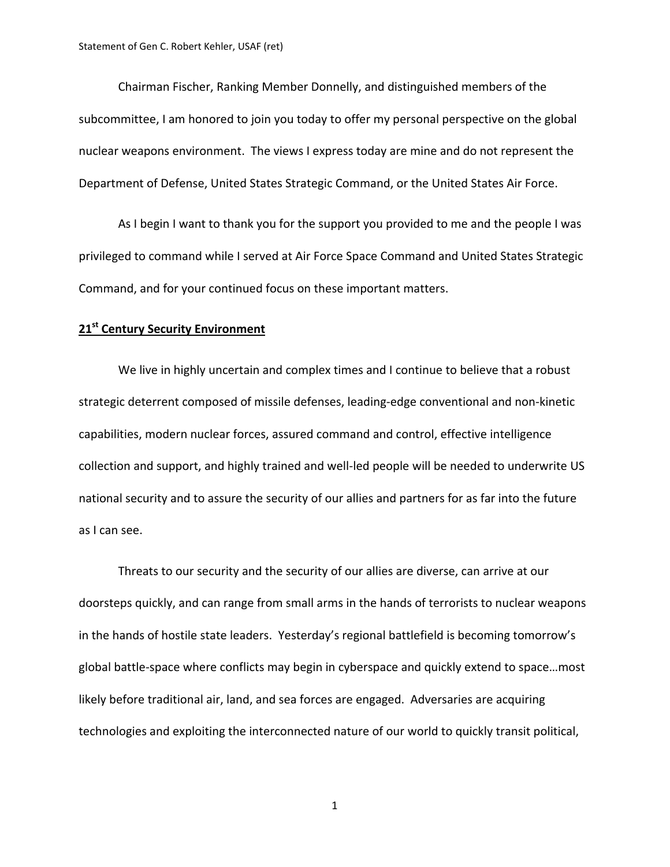Chairman Fischer, Ranking Member Donnelly, and distinguished members of the subcommittee, I am honored to join you today to offer my personal perspective on the global nuclear weapons environment. The views I express today are mine and do not represent the Department of Defense, United States Strategic Command, or the United States Air Force.

As I begin I want to thank you for the support you provided to me and the people I was privileged to command while I served at Air Force Space Command and United States Strategic Command, and for your continued focus on these important matters.

#### **21st Century Security Environment**

We live in highly uncertain and complex times and I continue to believe that a robust strategic deterrent composed of missile defenses, leading‐edge conventional and non‐kinetic capabilities, modern nuclear forces, assured command and control, effective intelligence collection and support, and highly trained and well‐led people will be needed to underwrite US national security and to assure the security of our allies and partners for as far into the future as I can see.

Threats to our security and the security of our allies are diverse, can arrive at our doorsteps quickly, and can range from small arms in the hands of terrorists to nuclear weapons in the hands of hostile state leaders. Yesterday's regional battlefield is becoming tomorrow's global battle‐space where conflicts may begin in cyberspace and quickly extend to space…most likely before traditional air, land, and sea forces are engaged. Adversaries are acquiring technologies and exploiting the interconnected nature of our world to quickly transit political,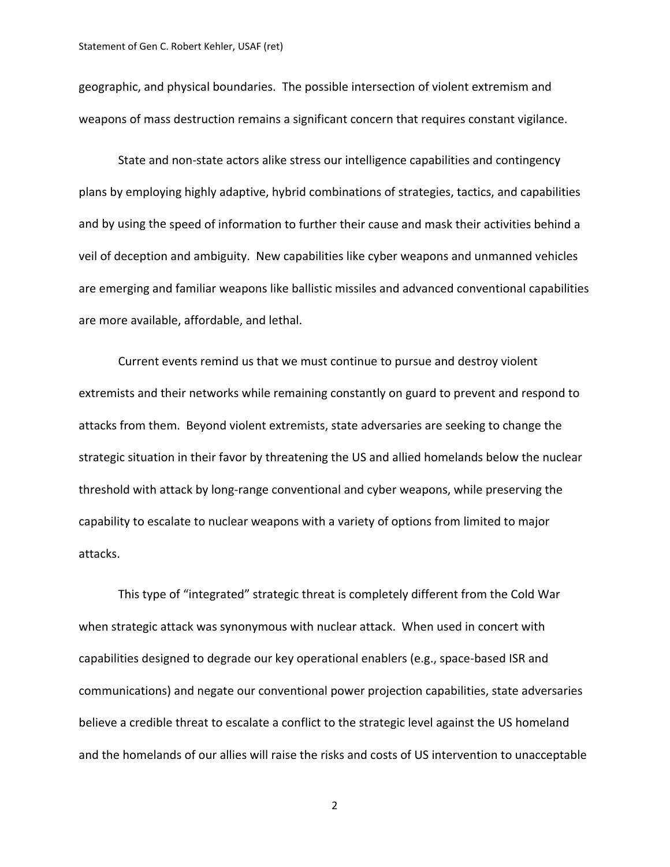geographic, and physical boundaries. The possible intersection of violent extremism and weapons of mass destruction remains a significant concern that requires constant vigilance.

State and non‐state actors alike stress our intelligence capabilities and contingency plans by employing highly adaptive, hybrid combinations of strategies, tactics, and capabilities and by using the speed of information to further their cause and mask their activities behind a veil of deception and ambiguity. New capabilities like cyber weapons and unmanned vehicles are emerging and familiar weapons like ballistic missiles and advanced conventional capabilities are more available, affordable, and lethal.

Current events remind us that we must continue to pursue and destroy violent extremists and their networks while remaining constantly on guard to prevent and respond to attacks from them. Beyond violent extremists, state adversaries are seeking to change the strategic situation in their favor by threatening the US and allied homelands below the nuclear threshold with attack by long‐range conventional and cyber weapons, while preserving the capability to escalate to nuclear weapons with a variety of options from limited to major attacks.

This type of "integrated" strategic threat is completely different from the Cold War when strategic attack was synonymous with nuclear attack. When used in concert with capabilities designed to degrade our key operational enablers (e.g., space‐based ISR and communications) and negate our conventional power projection capabilities, state adversaries believe a credible threat to escalate a conflict to the strategic level against the US homeland and the homelands of our allies will raise the risks and costs of US intervention to unacceptable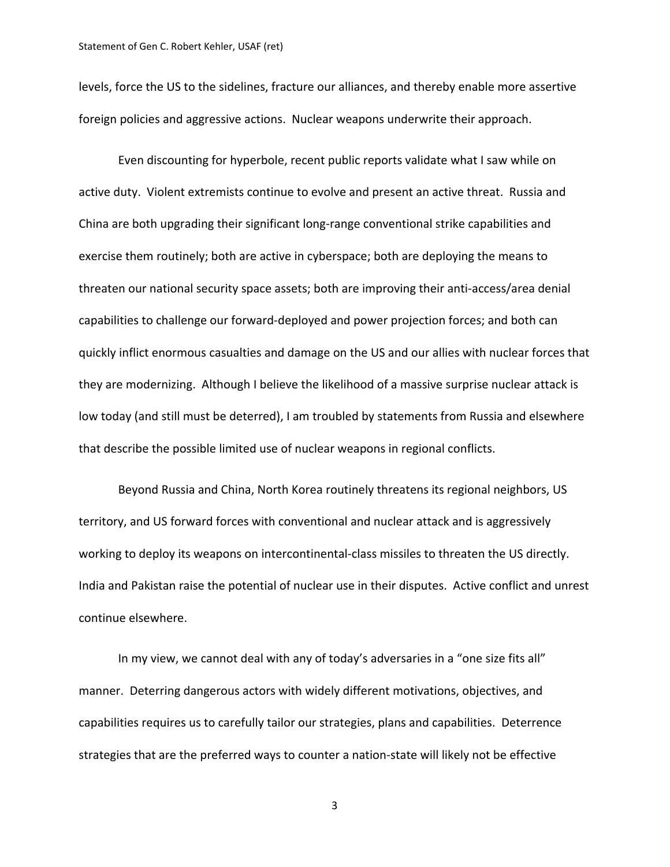levels, force the US to the sidelines, fracture our alliances, and thereby enable more assertive foreign policies and aggressive actions. Nuclear weapons underwrite their approach.

Even discounting for hyperbole, recent public reports validate what I saw while on active duty. Violent extremists continue to evolve and present an active threat. Russia and China are both upgrading their significant long‐range conventional strike capabilities and exercise them routinely; both are active in cyberspace; both are deploying the means to threaten our national security space assets; both are improving their anti‐access/area denial capabilities to challenge our forward‐deployed and power projection forces; and both can quickly inflict enormous casualties and damage on the US and our allies with nuclear forces that they are modernizing. Although I believe the likelihood of a massive surprise nuclear attack is low today (and still must be deterred), I am troubled by statements from Russia and elsewhere that describe the possible limited use of nuclear weapons in regional conflicts.

Beyond Russia and China, North Korea routinely threatens its regional neighbors, US territory, and US forward forces with conventional and nuclear attack and is aggressively working to deploy its weapons on intercontinental-class missiles to threaten the US directly. India and Pakistan raise the potential of nuclear use in their disputes. Active conflict and unrest continue elsewhere.

In my view, we cannot deal with any of today's adversaries in a "one size fits all" manner. Deterring dangerous actors with widely different motivations, objectives, and capabilities requires us to carefully tailor our strategies, plans and capabilities. Deterrence strategies that are the preferred ways to counter a nation‐state will likely not be effective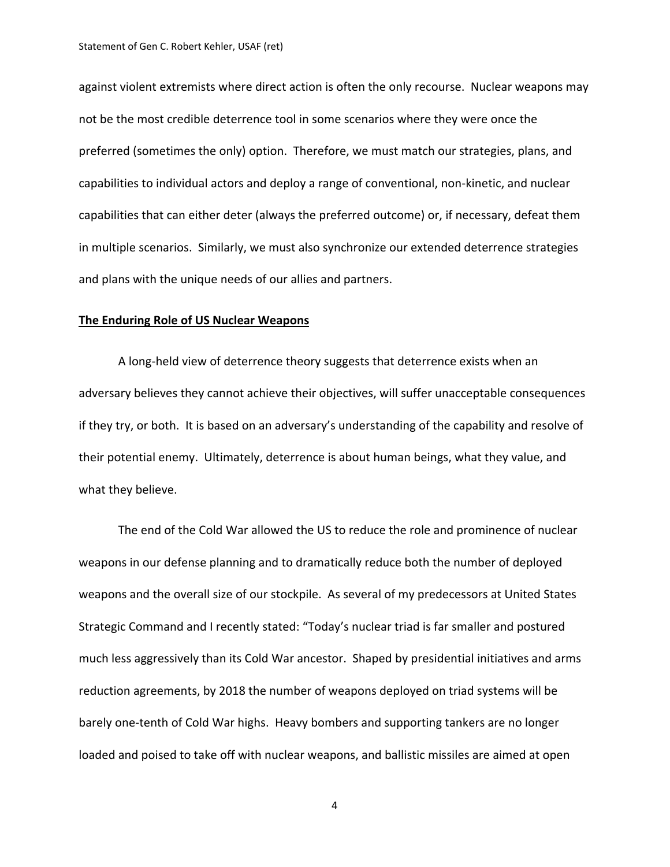against violent extremists where direct action is often the only recourse. Nuclear weapons may not be the most credible deterrence tool in some scenarios where they were once the preferred (sometimes the only) option. Therefore, we must match our strategies, plans, and capabilities to individual actors and deploy a range of conventional, non‐kinetic, and nuclear capabilities that can either deter (always the preferred outcome) or, if necessary, defeat them in multiple scenarios. Similarly, we must also synchronize our extended deterrence strategies and plans with the unique needs of our allies and partners.

#### **The Enduring Role of US Nuclear Weapons**

A long‐held view of deterrence theory suggests that deterrence exists when an adversary believes they cannot achieve their objectives, will suffer unacceptable consequences if they try, or both. It is based on an adversary's understanding of the capability and resolve of their potential enemy. Ultimately, deterrence is about human beings, what they value, and what they believe.

The end of the Cold War allowed the US to reduce the role and prominence of nuclear weapons in our defense planning and to dramatically reduce both the number of deployed weapons and the overall size of our stockpile. As several of my predecessors at United States Strategic Command and I recently stated: "Today's nuclear triad is far smaller and postured much less aggressively than its Cold War ancestor. Shaped by presidential initiatives and arms reduction agreements, by 2018 the number of weapons deployed on triad systems will be barely one-tenth of Cold War highs. Heavy bombers and supporting tankers are no longer loaded and poised to take off with nuclear weapons, and ballistic missiles are aimed at open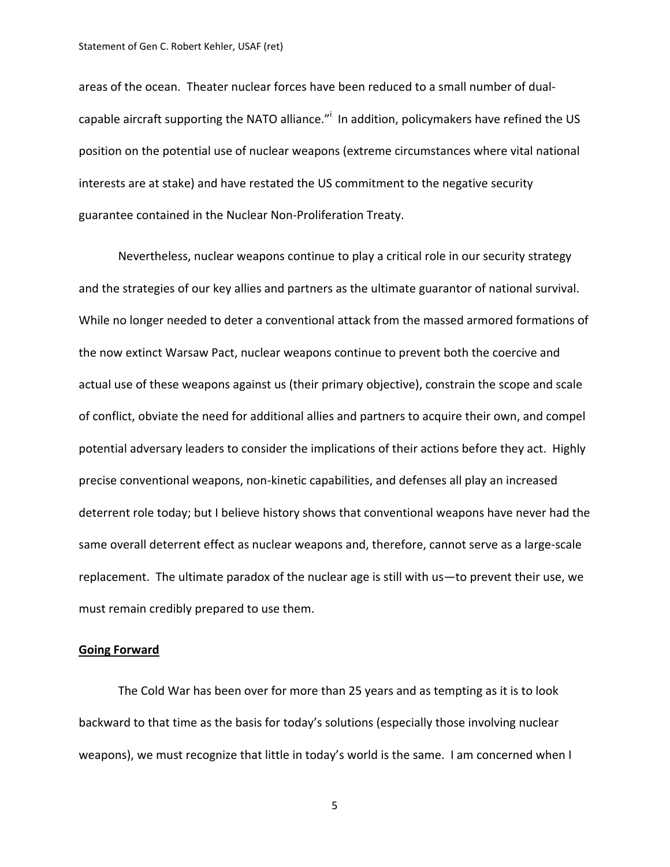areas of the ocean. Theater nuclear forces have been reduced to a small number of dual‐ capable aircraft supporting the NATO alliance."<sup>i</sup> In addition, policymakers have refined the US position on the potential use of nuclear weapons (extreme circumstances where vital national interests are at stake) and have restated the US commitment to the negative security guarantee contained in the Nuclear Non‐Proliferation Treaty.

Nevertheless, nuclear weapons continue to play a critical role in our security strategy and the strategies of our key allies and partners as the ultimate guarantor of national survival. While no longer needed to deter a conventional attack from the massed armored formations of the now extinct Warsaw Pact, nuclear weapons continue to prevent both the coercive and actual use of these weapons against us (their primary objective), constrain the scope and scale of conflict, obviate the need for additional allies and partners to acquire their own, and compel potential adversary leaders to consider the implications of their actions before they act. Highly precise conventional weapons, non‐kinetic capabilities, and defenses all play an increased deterrent role today; but I believe history shows that conventional weapons have never had the same overall deterrent effect as nuclear weapons and, therefore, cannot serve as a large-scale replacement. The ultimate paradox of the nuclear age is still with us—to prevent their use, we must remain credibly prepared to use them.

#### **Going Forward**

The Cold War has been over for more than 25 years and as tempting as it is to look backward to that time as the basis for today's solutions (especially those involving nuclear weapons), we must recognize that little in today's world is the same. I am concerned when I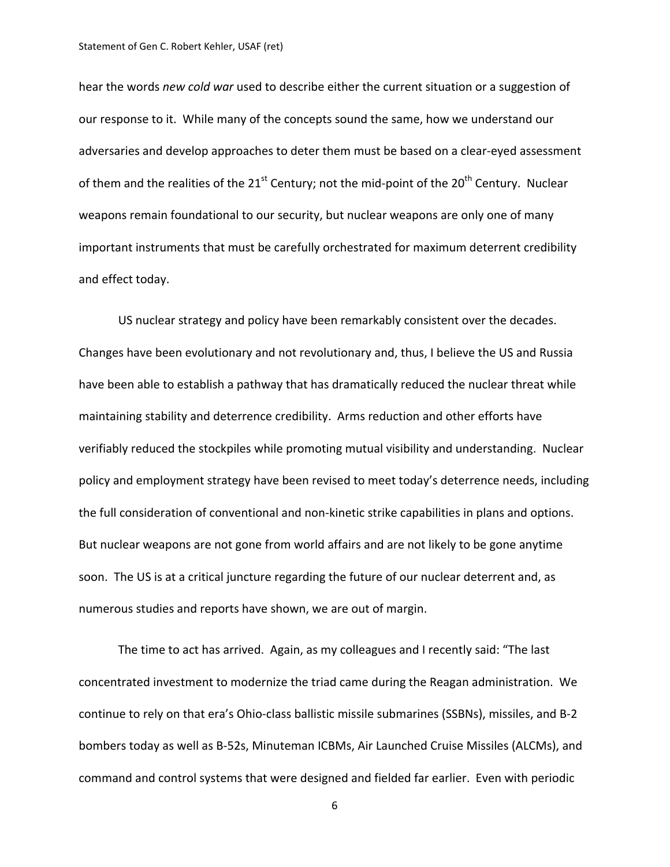hear the words *new cold war* used to describe either the current situation or a suggestion of our response to it. While many of the concepts sound the same, how we understand our adversaries and develop approaches to deter them must be based on a clear‐eyed assessment of them and the realities of the 21<sup>st</sup> Century; not the mid-point of the 20<sup>th</sup> Century. Nuclear weapons remain foundational to our security, but nuclear weapons are only one of many important instruments that must be carefully orchestrated for maximum deterrent credibility and effect today.

US nuclear strategy and policy have been remarkably consistent over the decades. Changes have been evolutionary and not revolutionary and, thus, I believe the US and Russia have been able to establish a pathway that has dramatically reduced the nuclear threat while maintaining stability and deterrence credibility. Arms reduction and other efforts have verifiably reduced the stockpiles while promoting mutual visibility and understanding. Nuclear policy and employment strategy have been revised to meet today's deterrence needs, including the full consideration of conventional and non‐kinetic strike capabilities in plans and options. But nuclear weapons are not gone from world affairs and are not likely to be gone anytime soon. The US is at a critical juncture regarding the future of our nuclear deterrent and, as numerous studies and reports have shown, we are out of margin.

The time to act has arrived. Again, as my colleagues and I recently said: "The last concentrated investment to modernize the triad came during the Reagan administration. We continue to rely on that era's Ohio‐class ballistic missile submarines (SSBNs), missiles, and B‐2 bombers today as well as B‐52s, Minuteman ICBMs, Air Launched Cruise Missiles (ALCMs), and command and control systems that were designed and fielded far earlier. Even with periodic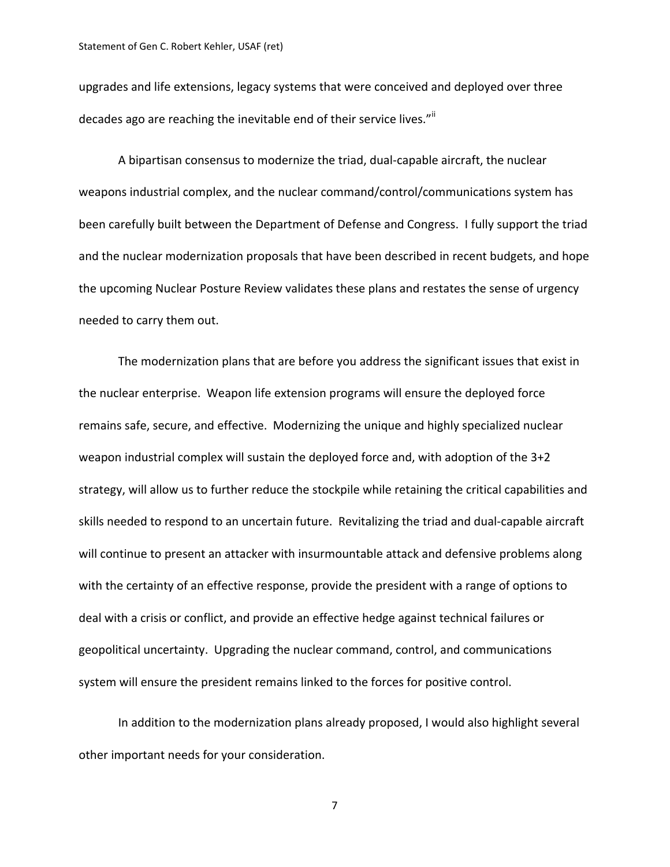upgrades and life extensions, legacy systems that were conceived and deployed over three decades ago are reaching the inevitable end of their service lives.""

A bipartisan consensus to modernize the triad, dual‐capable aircraft, the nuclear weapons industrial complex, and the nuclear command/control/communications system has been carefully built between the Department of Defense and Congress. I fully support the triad and the nuclear modernization proposals that have been described in recent budgets, and hope the upcoming Nuclear Posture Review validates these plans and restates the sense of urgency needed to carry them out.

The modernization plans that are before you address the significant issues that exist in the nuclear enterprise. Weapon life extension programs will ensure the deployed force remains safe, secure, and effective. Modernizing the unique and highly specialized nuclear weapon industrial complex will sustain the deployed force and, with adoption of the 3+2 strategy, will allow us to further reduce the stockpile while retaining the critical capabilities and skills needed to respond to an uncertain future. Revitalizing the triad and dual‐capable aircraft will continue to present an attacker with insurmountable attack and defensive problems along with the certainty of an effective response, provide the president with a range of options to deal with a crisis or conflict, and provide an effective hedge against technical failures or geopolitical uncertainty. Upgrading the nuclear command, control, and communications system will ensure the president remains linked to the forces for positive control.

In addition to the modernization plans already proposed, I would also highlight several other important needs for your consideration.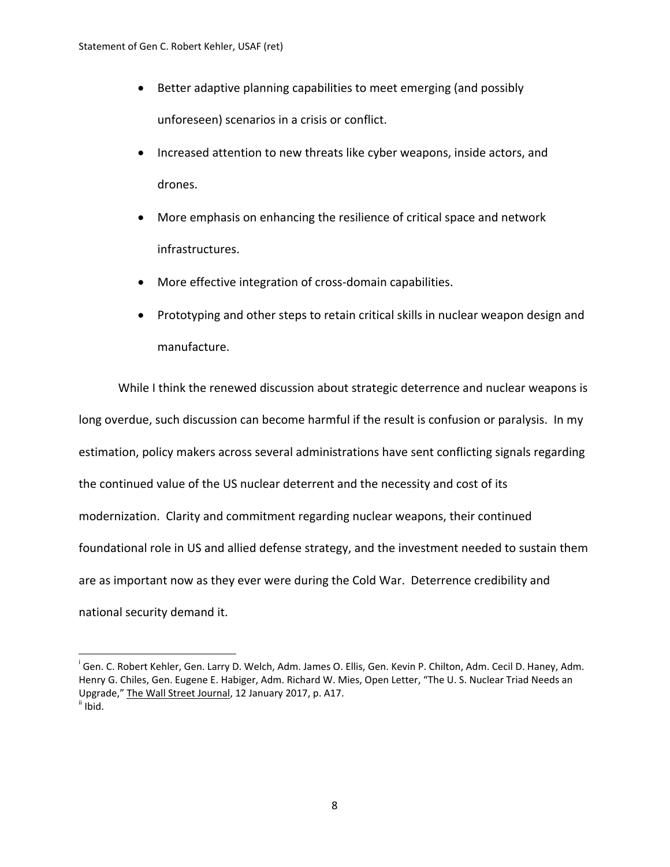- Better adaptive planning capabilities to meet emerging (and possibly unforeseen) scenarios in a crisis or conflict.
- Increased attention to new threats like cyber weapons, inside actors, and drones.
- More emphasis on enhancing the resilience of critical space and network infrastructures.
- More effective integration of cross-domain capabilities.
- Prototyping and other steps to retain critical skills in nuclear weapon design and manufacture.

While I think the renewed discussion about strategic deterrence and nuclear weapons is long overdue, such discussion can become harmful if the result is confusion or paralysis. In my estimation, policy makers across several administrations have sent conflicting signals regarding the continued value of the US nuclear deterrent and the necessity and cost of its modernization. Clarity and commitment regarding nuclear weapons, their continued foundational role in US and allied defense strategy, and the investment needed to sustain them are as important now as they ever were during the Cold War. Deterrence credibility and national security demand it.

<sup>&</sup>lt;sup>i</sup> Gen. C. Robert Kehler, Gen. Larry D. Welch, Adm. James O. Ellis, Gen. Kevin P. Chilton, Adm. Cecil D. Haney, Adm. Henry G. Chiles, Gen. Eugene E. Habiger, Adm. Richard W. Mies, Open Letter, "The U. S. Nuclear Triad Needs an Upgrade," The Wall Street Journal, 12 January 2017, p. A17.<br><sup>ii</sup> Ibid.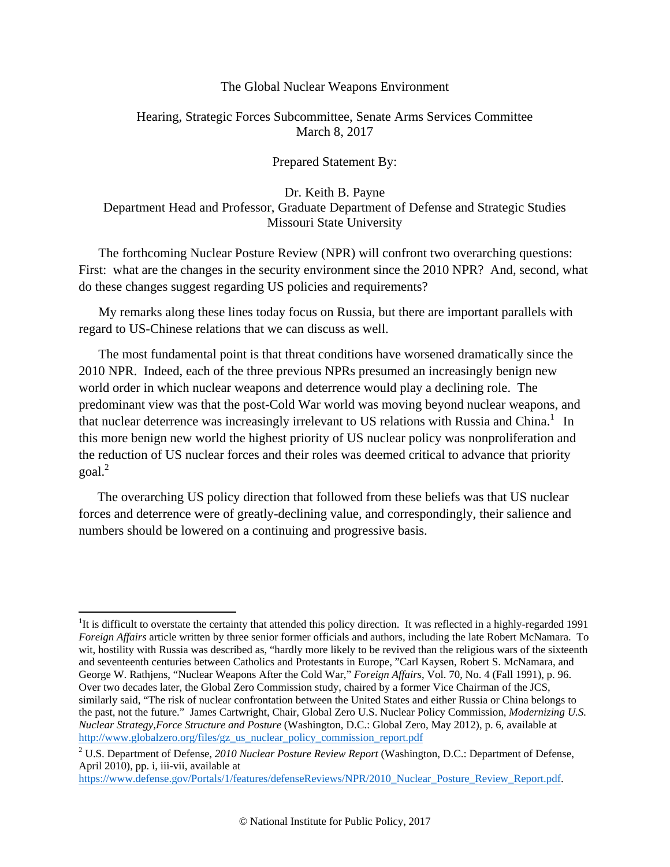#### The Global Nuclear Weapons Environment

#### <span id="page-10-0"></span>Hearing, Strategic Forces Subcommittee, Senate Arms Services Committee March 8, 2017

#### Prepared Statement By:

#### Dr. Keith B. Payne Department Head and Professor, Graduate Department of Defense and Strategic Studies Missouri State University

The forthcoming Nuclear Posture Review (NPR) will confront two overarching questions: First: what are the changes in the security environment since the 2010 NPR? And, second, what do these changes suggest regarding US policies and requirements?

My remarks along these lines today focus on Russia, but there are important parallels with regard to US-Chinese relations that we can discuss as well.

The most fundamental point is that threat conditions have worsened dramatically since the 2010 NPR. Indeed, each of the three previous NPRs presumed an increasingly benign new world order in which nuclear weapons and deterrence would play a declining role. The predominant view was that the post-Cold War world was moving beyond nuclear weapons, and that nuclear deterrence was increasingly irrelevant to US relations with Russia and China.<sup>1</sup> In this more benign new world the highest priority of US nuclear policy was nonproliferation and the reduction of US nuclear forces and their roles was deemed critical to advance that priority goal.<sup>2</sup>

The overarching US policy direction that followed from these beliefs was that US nuclear forces and deterrence were of greatly-declining value, and correspondingly, their salience and numbers should be lowered on a continuing and progressive basis.

<sup>&</sup>lt;sup>1</sup>It is difficult to overstate the certainty that attended this policy direction. It was reflected in a highly-regarded 1991 *Foreign Affairs* article written by three senior former officials and authors, including the late Robert McNamara. To wit, hostility with Russia was described as, "hardly more likely to be revived than the religious wars of the sixteenth and seventeenth centuries between Catholics and Protestants in Europe, "Carl Kaysen, Robert S. McNamara, and George W. Rathjens, "Nuclear Weapons After the Cold War," *Foreign Affairs*, Vol. 70, No. 4 (Fall 1991), p. 96. Over two decades later, the Global Zero Commission study, chaired by a former Vice Chairman of the JCS, similarly said, "The risk of nuclear confrontation between the United States and either Russia or China belongs to the past, not the future." James Cartwright, Chair, Global Zero U.S. Nuclear Policy Commission, *Modernizing U.S. Nuclear Strategy,Force Structure and Posture* (Washington, D.C.: Global Zero, May 2012), p. 6, available at http://www.globalzero.org/files/gz\_us\_nuclear\_policy\_commission\_report.pdf

<sup>2</sup> U.S. Department of Defense, *2010 Nuclear Posture Review Report* (Washington, D.C.: Department of Defense, April 2010), pp. i, iii-vii, available at

https://www.defense.gov/Portals/1/features/defenseReviews/NPR/2010\_Nuclear\_Posture\_Review\_Report.pdf.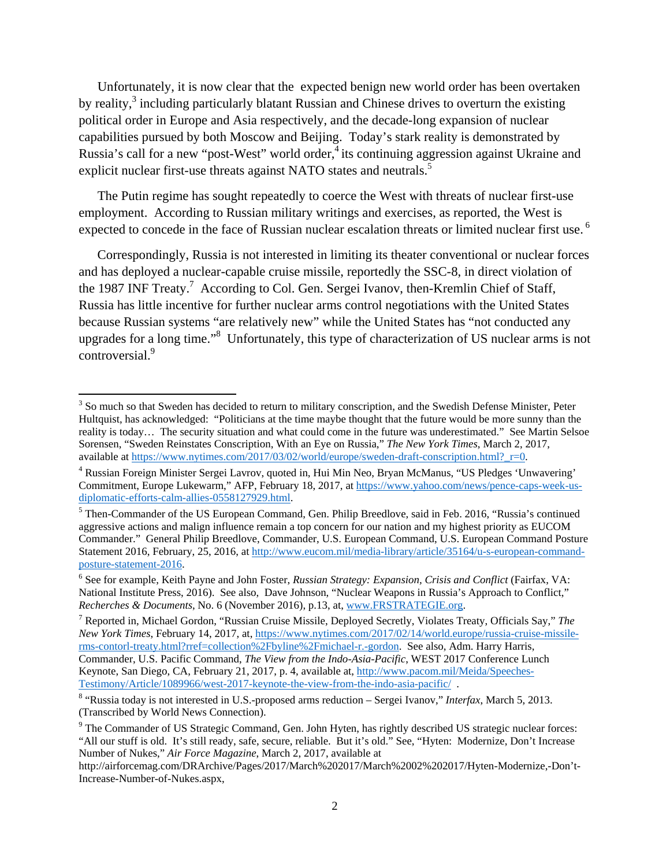Unfortunately, it is now clear that the expected benign new world order has been overtaken by reality, $3$  including particularly blatant Russian and Chinese drives to overturn the existing political order in Europe and Asia respectively, and the decade-long expansion of nuclear capabilities pursued by both Moscow and Beijing. Today's stark reality is demonstrated by Russia's call for a new "post-West" world order,<sup>4</sup> its continuing aggression against Ukraine and explicit nuclear first-use threats against NATO states and neutrals.<sup>5</sup>

The Putin regime has sought repeatedly to coerce the West with threats of nuclear first-use employment. According to Russian military writings and exercises, as reported, the West is expected to concede in the face of Russian nuclear escalation threats or limited nuclear first use.<sup>6</sup>

Correspondingly, Russia is not interested in limiting its theater conventional or nuclear forces and has deployed a nuclear-capable cruise missile, reportedly the SSC-8, in direct violation of the 1987 INF Treaty.<sup>7</sup> According to Col. Gen. Sergei Ivanov, then-Kremlin Chief of Staff, Russia has little incentive for further nuclear arms control negotiations with the United States because Russian systems "are relatively new" while the United States has "not conducted any upgrades for a long time."<sup>8</sup> Unfortunately, this type of characterization of US nuclear arms is not controversial.<sup>9</sup>

<sup>&</sup>lt;sup>3</sup> So much so that Sweden has decided to return to military conscription, and the Swedish Defense Minister, Peter Hultquist, has acknowledged: "Politicians at the time maybe thought that the future would be more sunny than the reality is today… The security situation and what could come in the future was underestimated." See Martin Selsoe Sorensen, "Sweden Reinstates Conscription, With an Eye on Russia," *The New York Times*, March 2, 2017, available at https://www.nytimes.com/2017/03/02/world/europe/sweden-draft-conscription.html?  $r=0$ .

Russian Foreign Minister Sergei Lavrov, quoted in, Hui Min Neo, Bryan McManus, "US Pledges 'Unwavering' Commitment, Europe Lukewarm," AFP, February 18, 2017, at https://www.yahoo.com/news/pence-caps-week-usdiplomatic-efforts-calm-allies-0558127929.html. 5

<sup>&</sup>lt;sup>5</sup> Then-Commander of the US European Command, Gen. Philip Breedlove, said in Feb. 2016, "Russia's continued aggressive actions and malign influence remain a top concern for our nation and my highest priority as EUCOM Commander." General Philip Breedlove, Commander, U.S. European Command, U.S. European Command Posture Statement 2016, February, 25, 2016, at http://www.eucom.mil/media-library/article/35164/u-s-european-commandposture-statement-2016.

See for example, Keith Payne and John Foster, *Russian Strategy: Expansion, Crisis and Conflict* (Fairfax, VA: National Institute Press, 2016). See also, Dave Johnson, "Nuclear Weapons in Russia's Approach to Conflict," *Recherches & Documents*, No. 6 (November 2016), p.13, at, www.FRSTRATEGIE.org.

<sup>7</sup> Reported in, Michael Gordon, "Russian Cruise Missile, Deployed Secretly, Violates Treaty, Officials Say," *The New York Times*, February 14, 2017, at, https://www.nytimes.com/2017/02/14/world.europe/russia-cruise-missilerms-contorl-treaty.html?rref=collection%2Fbyline%2Fmichael-r.-gordon. See also, Adm. Harry Harris, Commander, U.S. Pacific Command, *The View from the Indo-Asia-Pacific*, WEST 2017 Conference Lunch Keynote, San Diego, CA, February 21, 2017, p. 4, available at, http://www.pacom.mil/Meida/Speeches-Testimony/Article/1089966/west-2017-keynote-the-view-from-the-indo-asia-pacific/.

 <sup>&</sup>quot;Russia today is not interested in U.S.-proposed arms reduction – Sergei Ivanov," *Interfax*, March 5, 2013. (Transcribed by World News Connection).

<sup>&</sup>lt;sup>9</sup> The Commander of US Strategic Command, Gen. John Hyten, has rightly described US strategic nuclear forces: "All our stuff is old. It's still ready, safe, secure, reliable. But it's old." See, "Hyten: Modernize, Don't Increase Number of Nukes," *Air Force Magazine*, March 2, 2017, available at

http://airforcemag.com/DRArchive/Pages/2017/March%202017/March%2002%202017/Hyten-Modernize,-Don't-Increase-Number-of-Nukes.aspx,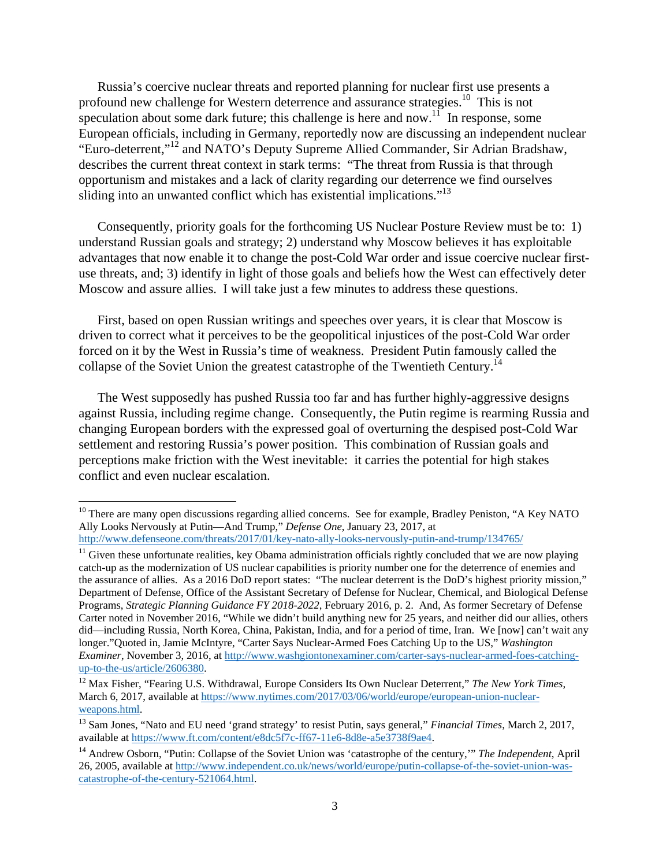Russia's coercive nuclear threats and reported planning for nuclear first use presents a profound new challenge for Western deterrence and assurance strategies.10 This is not speculation about some dark future; this challenge is here and now.<sup>11</sup> In response, some European officials, including in Germany, reportedly now are discussing an independent nuclear "Euro-deterrent,"12 and NATO's Deputy Supreme Allied Commander, Sir Adrian Bradshaw, describes the current threat context in stark terms: "The threat from Russia is that through opportunism and mistakes and a lack of clarity regarding our deterrence we find ourselves sliding into an unwanted conflict which has existential implications."<sup>13</sup>

Consequently, priority goals for the forthcoming US Nuclear Posture Review must be to: 1) understand Russian goals and strategy; 2) understand why Moscow believes it has exploitable advantages that now enable it to change the post-Cold War order and issue coercive nuclear firstuse threats, and; 3) identify in light of those goals and beliefs how the West can effectively deter Moscow and assure allies. I will take just a few minutes to address these questions.

First, based on open Russian writings and speeches over years, it is clear that Moscow is driven to correct what it perceives to be the geopolitical injustices of the post-Cold War order forced on it by the West in Russia's time of weakness. President Putin famously called the collapse of the Soviet Union the greatest catastrophe of the Twentieth Century.<sup>14</sup>

The West supposedly has pushed Russia too far and has further highly-aggressive designs against Russia, including regime change. Consequently, the Putin regime is rearming Russia and changing European borders with the expressed goal of overturning the despised post-Cold War settlement and restoring Russia's power position. This combination of Russian goals and perceptions make friction with the West inevitable: it carries the potential for high stakes conflict and even nuclear escalation.

 $10$  There are many open discussions regarding allied concerns. See for example, Bradley Peniston, "A Key NATO" Ally Looks Nervously at Putin—And Trump," *Defense One*, January 23, 2017, at

http://www.defenseone.com/threats/2017/01/key-nato-ally-looks-nervously-putin-and-trump/134765/<br><sup>11</sup> Given these unfortunate realities, key Obama administration officials rightly concluded that we are now playing catch-up as the modernization of US nuclear capabilities is priority number one for the deterrence of enemies and the assurance of allies. As a 2016 DoD report states: "The nuclear deterrent is the DoD's highest priority mission," Department of Defense, Office of the Assistant Secretary of Defense for Nuclear, Chemical, and Biological Defense Programs, *Strategic Planning Guidance FY 2018-2022*, February 2016, p. 2. And, As former Secretary of Defense Carter noted in November 2016, "While we didn't build anything new for 25 years, and neither did our allies, others did—including Russia, North Korea, China, Pakistan, India, and for a period of time, Iran. We [now] can't wait any longer."Quoted in, Jamie McIntyre, "Carter Says Nuclear-Armed Foes Catching Up to the US," *Washington Examiner*, November 3, 2016, at http://www.washgiontonexaminer.com/carter-says-nuclear-armed-foes-catchingup-to-the-us/article/2606380.

<sup>&</sup>lt;sup>12</sup> Max Fisher, "Fearing U.S. Withdrawal, Europe Considers Its Own Nuclear Deterrent," The New York Times, March 6, 2017, available at https://www.nytimes.com/2017/03/06/world/europe/european-union-nuclearweapons.html.

<sup>13</sup> Sam Jones, "Nato and EU need 'grand strategy' to resist Putin, says general," *Financial Times*, March 2, 2017, available at https://www.ft.com/content/e8dc5f7c-ff67-11e6-8d8e-a5e3738f9ae4.

<sup>14</sup> Andrew Osborn, "Putin: Collapse of the Soviet Union was 'catastrophe of the century,'" *The Independent*, April 26, 2005, available at http://www.independent.co.uk/news/world/europe/putin-collapse-of-the-soviet-union-wascatastrophe-of-the-century-521064.html.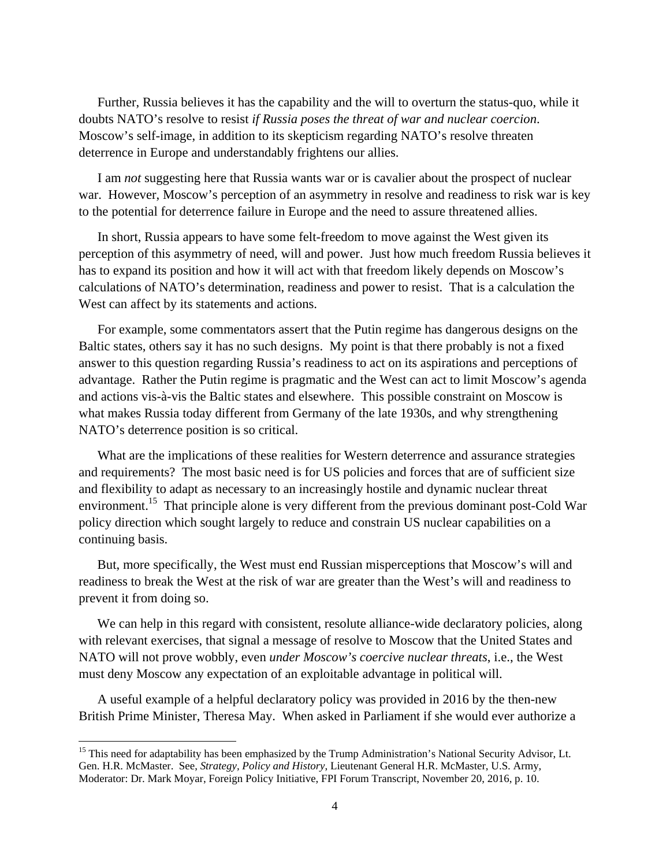Further, Russia believes it has the capability and the will to overturn the status-quo, while it doubts NATO's resolve to resist *if Russia poses the threat of war and nuclear coercion*. Moscow's self-image, in addition to its skepticism regarding NATO's resolve threaten deterrence in Europe and understandably frightens our allies.

I am *not* suggesting here that Russia wants war or is cavalier about the prospect of nuclear war. However, Moscow's perception of an asymmetry in resolve and readiness to risk war is key to the potential for deterrence failure in Europe and the need to assure threatened allies.

In short, Russia appears to have some felt-freedom to move against the West given its perception of this asymmetry of need, will and power. Just how much freedom Russia believes it has to expand its position and how it will act with that freedom likely depends on Moscow's calculations of NATO's determination, readiness and power to resist. That is a calculation the West can affect by its statements and actions.

For example, some commentators assert that the Putin regime has dangerous designs on the Baltic states, others say it has no such designs. My point is that there probably is not a fixed answer to this question regarding Russia's readiness to act on its aspirations and perceptions of advantage. Rather the Putin regime is pragmatic and the West can act to limit Moscow's agenda and actions vis-à-vis the Baltic states and elsewhere. This possible constraint on Moscow is what makes Russia today different from Germany of the late 1930s, and why strengthening NATO's deterrence position is so critical.

What are the implications of these realities for Western deterrence and assurance strategies and requirements? The most basic need is for US policies and forces that are of sufficient size and flexibility to adapt as necessary to an increasingly hostile and dynamic nuclear threat environment.<sup>15</sup> That principle alone is very different from the previous dominant post-Cold War policy direction which sought largely to reduce and constrain US nuclear capabilities on a continuing basis.

But, more specifically, the West must end Russian misperceptions that Moscow's will and readiness to break the West at the risk of war are greater than the West's will and readiness to prevent it from doing so.

We can help in this regard with consistent, resolute alliance-wide declaratory policies, along with relevant exercises, that signal a message of resolve to Moscow that the United States and NATO will not prove wobbly, even *under Moscow's coercive nuclear threats*, i.e., the West must deny Moscow any expectation of an exploitable advantage in political will.

A useful example of a helpful declaratory policy was provided in 2016 by the then-new British Prime Minister, Theresa May. When asked in Parliament if she would ever authorize a

<sup>&</sup>lt;sup>15</sup> This need for adaptability has been emphasized by the Trump Administration's National Security Advisor, Lt. Gen. H.R. McMaster. See, *Strategy, Policy and History*, Lieutenant General H.R. McMaster, U.S. Army, Moderator: Dr. Mark Moyar, Foreign Policy Initiative, FPI Forum Transcript, November 20, 2016, p. 10.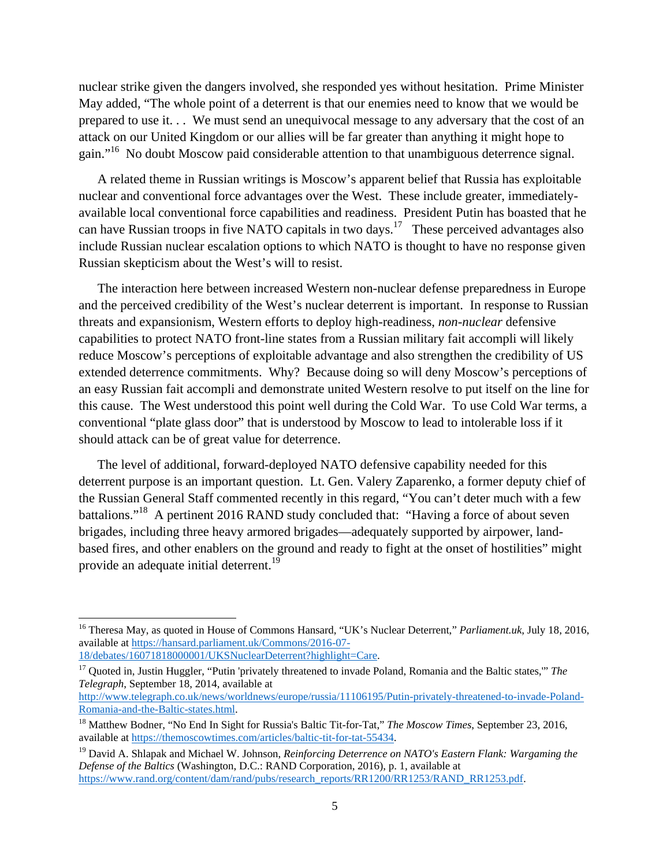nuclear strike given the dangers involved, she responded yes without hesitation. Prime Minister May added, "The whole point of a deterrent is that our enemies need to know that we would be prepared to use it. . . We must send an unequivocal message to any adversary that the cost of an attack on our United Kingdom or our allies will be far greater than anything it might hope to gain."16 No doubt Moscow paid considerable attention to that unambiguous deterrence signal.

A related theme in Russian writings is Moscow's apparent belief that Russia has exploitable nuclear and conventional force advantages over the West. These include greater, immediatelyavailable local conventional force capabilities and readiness. President Putin has boasted that he can have Russian troops in five NATO capitals in two days.17 These perceived advantages also include Russian nuclear escalation options to which NATO is thought to have no response given Russian skepticism about the West's will to resist.

The interaction here between increased Western non-nuclear defense preparedness in Europe and the perceived credibility of the West's nuclear deterrent is important. In response to Russian threats and expansionism, Western efforts to deploy high-readiness, *non-nuclear* defensive capabilities to protect NATO front-line states from a Russian military fait accompli will likely reduce Moscow's perceptions of exploitable advantage and also strengthen the credibility of US extended deterrence commitments. Why? Because doing so will deny Moscow's perceptions of an easy Russian fait accompli and demonstrate united Western resolve to put itself on the line for this cause. The West understood this point well during the Cold War. To use Cold War terms, a conventional "plate glass door" that is understood by Moscow to lead to intolerable loss if it should attack can be of great value for deterrence.

The level of additional, forward-deployed NATO defensive capability needed for this deterrent purpose is an important question. Lt. Gen. Valery Zaparenko, a former deputy chief of the Russian General Staff commented recently in this regard, "You can't deter much with a few battalions."18 A pertinent 2016 RAND study concluded that: "Having a force of about seven brigades, including three heavy armored brigades—adequately supported by airpower, landbased fires, and other enablers on the ground and ready to fight at the onset of hostilities" might provide an adequate initial deterrent.<sup>19</sup>

<sup>&</sup>lt;sup>16</sup> Theresa May, as quoted in House of Commons Hansard, "UK's Nuclear Deterrent," *Parliament.uk*, July 18, 2016, available at https://hansard.parliament.uk/Commons/2016-07-<br>18/debates/16071818000001/UKSNuclearDeterrent?highlight=Care.

<sup>&</sup>lt;sup>17</sup> Quoted in, Justin Huggler, "Putin 'privately threatened to invade Poland, Romania and the Baltic states," *The Telegraph*, September 18, 2014, available at

http://www.telegraph.co.uk/news/worldnews/europe/russia/11106195/Putin-privately-threatened-to-invade-Poland-Romania-and-the-Baltic-states.html.

<sup>18</sup> Matthew Bodner, "No End In Sight for Russia's Baltic Tit-for-Tat," *The Moscow Times*, September 23, 2016, available at https://themoscowtimes.com/articles/baltic-tit-for-tat-55434.

<sup>19</sup> David A. Shlapak and Michael W. Johnson, *Reinforcing Deterrence on NATO's Eastern Flank: Wargaming the Defense of the Baltics* (Washington, D.C.: RAND Corporation, 2016), p. 1, available at https://www.rand.org/content/dam/rand/pubs/research\_reports/RR1200/RR1253/RAND\_RR1253.pdf.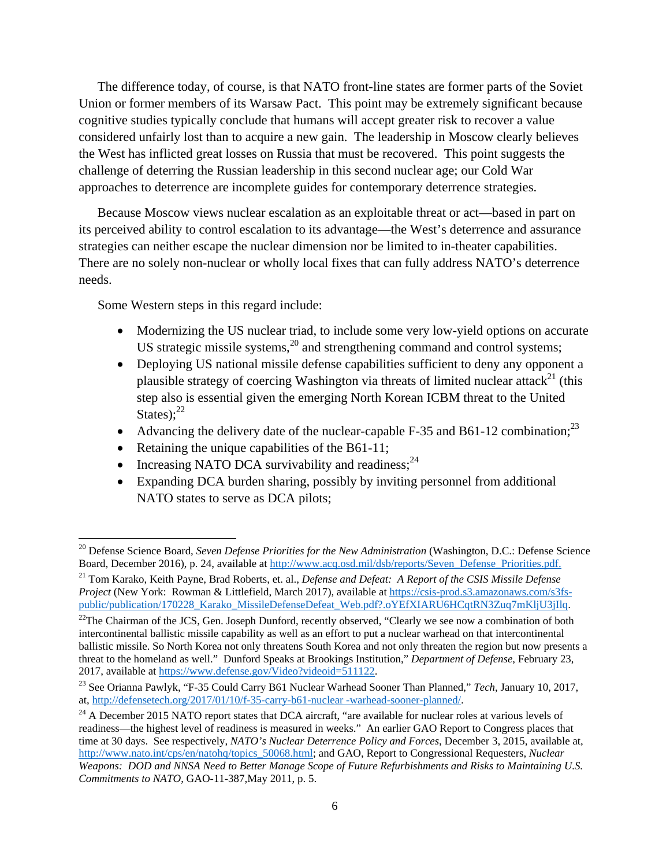The difference today, of course, is that NATO front-line states are former parts of the Soviet Union or former members of its Warsaw Pact. This point may be extremely significant because cognitive studies typically conclude that humans will accept greater risk to recover a value considered unfairly lost than to acquire a new gain. The leadership in Moscow clearly believes the West has inflicted great losses on Russia that must be recovered. This point suggests the challenge of deterring the Russian leadership in this second nuclear age; our Cold War approaches to deterrence are incomplete guides for contemporary deterrence strategies.

Because Moscow views nuclear escalation as an exploitable threat or act—based in part on its perceived ability to control escalation to its advantage—the West's deterrence and assurance strategies can neither escape the nuclear dimension nor be limited to in-theater capabilities. There are no solely non-nuclear or wholly local fixes that can fully address NATO's deterrence needs.

Some Western steps in this regard include:

- Modernizing the US nuclear triad, to include some very low-yield options on accurate US strategic missile systems, $^{20}$  and strengthening command and control systems;
- Deploying US national missile defense capabilities sufficient to deny any opponent a plausible strategy of coercing Washington via threats of limited nuclear attack<sup>21</sup> (this step also is essential given the emerging North Korean ICBM threat to the United States); $^{22}$
- Advancing the delivery date of the nuclear-capable F-35 and B61-12 combination;<sup>23</sup>
- Retaining the unique capabilities of the B61-11;
- Increasing NATO DCA survivability and readiness;  $2^4$
- Expanding DCA burden sharing, possibly by inviting personnel from additional NATO states to serve as DCA pilots;

<sup>20</sup> Defense Science Board, *Seven Defense Priorities for the New Administration* (Washington, D.C.: Defense Science Board, December 2016), p. 24, available at http://www.acq.osd.mil/dsb/reports/Seven\_Defense\_Priorities.pdf.

<sup>21</sup> Tom Karako, Keith Payne, Brad Roberts, et. al., *Defense and Defeat: A Report of the CSIS Missile Defense Project* (New York: Rowman & Littlefield, March 2017), available at https://csis-prod.s3.amazonaws.com/s3fspublic/publication/170228\_Karako\_MissileDefenseDefeat\_Web.pdf?.oYEfXIARU6HCqtRN3Zuq7mKljU3jIlq.

<sup>&</sup>lt;sup>22</sup>The Chairman of the JCS, Gen. Joseph Dunford, recently observed, "Clearly we see now a combination of both intercontinental ballistic missile capability as well as an effort to put a nuclear warhead on that intercontinental ballistic missile. So North Korea not only threatens South Korea and not only threaten the region but now presents a threat to the homeland as well." Dunford Speaks at Brookings Institution," *Department of Defense*, February 23, 2017, available at https://www.defense.gov/Video?videoid=511122.

<sup>23</sup> See Orianna Pawlyk, "F-35 Could Carry B61 Nuclear Warhead Sooner Than Planned," *Tech*, January 10, 2017, at, http://defensetech.org/2017/01/10/f-35-carry-b61-nuclear -warhead-sooner-planned/.

<sup>&</sup>lt;sup>24</sup> A December 2015 NATO report states that DCA aircraft, "are available for nuclear roles at various levels of readiness—the highest level of readiness is measured in weeks." An earlier GAO Report to Congress places that time at 30 days. See respectively, *NATO's Nuclear Deterrence Policy and Forces*, December 3, 2015, available at, http://www.nato.int/cps/en/natohq/topics\_50068.html; and GAO, Report to Congressional Requesters, *Nuclear Weapons: DOD and NNSA Need to Better Manage Scope of Future Refurbishments and Risks to Maintaining U.S. Commitments to NATO*, GAO-11-387,May 2011, p. 5.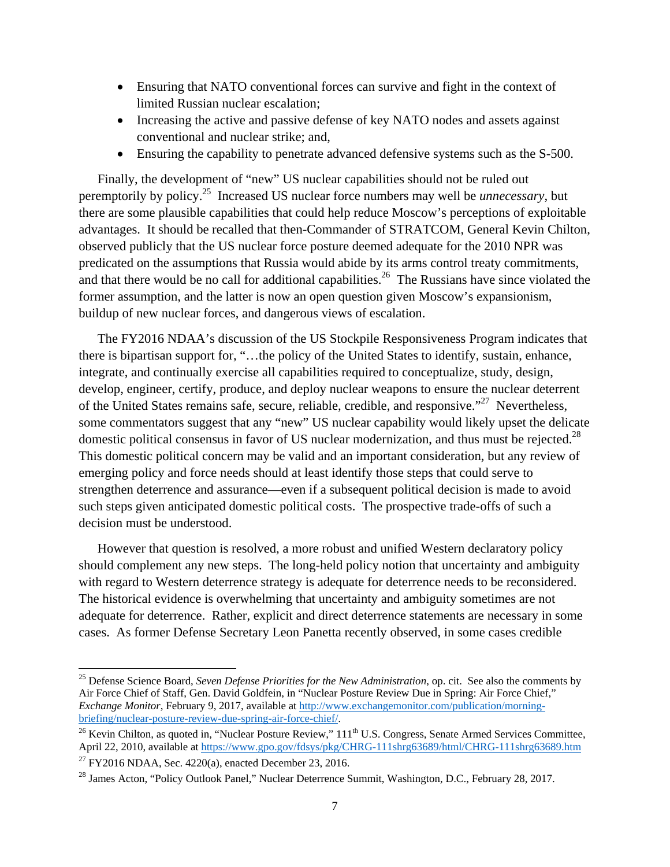- Ensuring that NATO conventional forces can survive and fight in the context of limited Russian nuclear escalation;
- Increasing the active and passive defense of key NATO nodes and assets against conventional and nuclear strike; and,
- Ensuring the capability to penetrate advanced defensive systems such as the S-500.

Finally, the development of "new" US nuclear capabilities should not be ruled out peremptorily by policy.25 Increased US nuclear force numbers may well be *unnecessary*, but there are some plausible capabilities that could help reduce Moscow's perceptions of exploitable advantages. It should be recalled that then-Commander of STRATCOM, General Kevin Chilton, observed publicly that the US nuclear force posture deemed adequate for the 2010 NPR was predicated on the assumptions that Russia would abide by its arms control treaty commitments, and that there would be no call for additional capabilities.<sup>26</sup> The Russians have since violated the former assumption, and the latter is now an open question given Moscow's expansionism, buildup of new nuclear forces, and dangerous views of escalation.

The FY2016 NDAA's discussion of the US Stockpile Responsiveness Program indicates that there is bipartisan support for, "…the policy of the United States to identify, sustain, enhance, integrate, and continually exercise all capabilities required to conceptualize, study, design, develop, engineer, certify, produce, and deploy nuclear weapons to ensure the nuclear deterrent of the United States remains safe, secure, reliable, credible, and responsive."<sup>27</sup> Nevertheless, some commentators suggest that any "new" US nuclear capability would likely upset the delicate domestic political consensus in favor of US nuclear modernization, and thus must be rejected.<sup>28</sup> This domestic political concern may be valid and an important consideration, but any review of emerging policy and force needs should at least identify those steps that could serve to strengthen deterrence and assurance—even if a subsequent political decision is made to avoid such steps given anticipated domestic political costs. The prospective trade-offs of such a decision must be understood.

However that question is resolved, a more robust and unified Western declaratory policy should complement any new steps. The long-held policy notion that uncertainty and ambiguity with regard to Western deterrence strategy is adequate for deterrence needs to be reconsidered. The historical evidence is overwhelming that uncertainty and ambiguity sometimes are not adequate for deterrence. Rather, explicit and direct deterrence statements are necessary in some cases. As former Defense Secretary Leon Panetta recently observed, in some cases credible

<sup>25</sup> Defense Science Board, *Seven Defense Priorities for the New Administration*, op. cit. See also the comments by Air Force Chief of Staff, Gen. David Goldfein, in "Nuclear Posture Review Due in Spring: Air Force Chief," *Exchange Monitor*, February 9, 2017, available at http://www.exchangemonitor.com/publication/morningbriefing/nuclear-posture-review-due-spring-air-force-chief/.<br><sup>26</sup> Kevin Chilton, as quoted in, "Nuclear Posture Review," 111<sup>th</sup> U.S. Congress, Senate Armed Services Committee,

April 22, 2010, available at https://www.gpo.gov/fdsys/pkg/CHRG-111shrg63689/html/CHRG-111shrg63689.htm

<sup>&</sup>lt;sup>27</sup> FY2016 NDAA, Sec. 4220(a), enacted December 23, 2016.

<sup>&</sup>lt;sup>28</sup> James Acton, "Policy Outlook Panel," Nuclear Deterrence Summit, Washington, D.C., February 28, 2017.